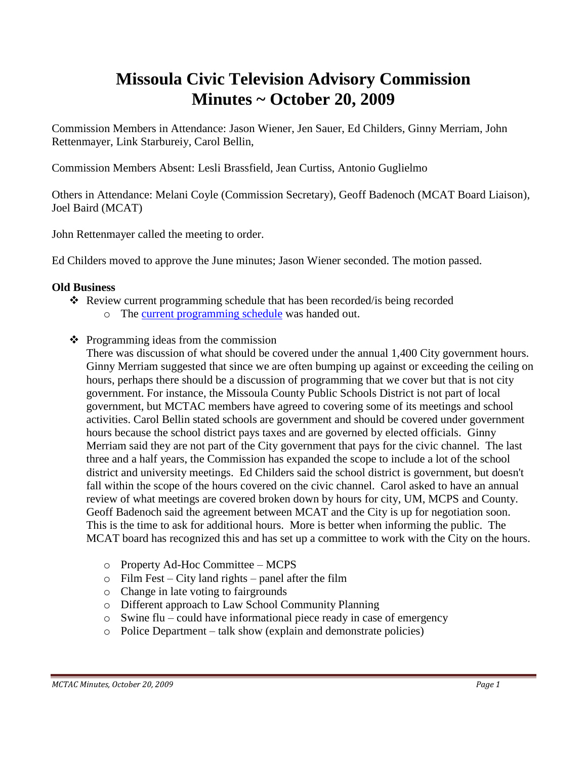# **Missoula Civic Television Advisory Commission Minutes ~ October 20, 2009**

Commission Members in Attendance: Jason Wiener, Jen Sauer, Ed Childers, Ginny Merriam, John Rettenmayer, Link Starbureiy, Carol Bellin,

Commission Members Absent: Lesli Brassfield, Jean Curtiss, Antonio Guglielmo

Others in Attendance: Melani Coyle (Commission Secretary), Geoff Badenoch (MCAT Board Liaison), Joel Baird (MCAT)

John Rettenmayer called the meeting to order.

Ed Childers moved to approve the June minutes; Jason Wiener seconded. The motion passed.

### **Old Business**

- Review current programming schedule that has been recorded/is being recorded o The [current programming schedule](ftp://ftp.ci.missoula.mt.us/Documents/Mayor/GCCAC/2009/091020Programming.pdf) was handed out.
- $\triangle$  Programming ideas from the commission

There was discussion of what should be covered under the annual 1,400 City government hours. Ginny Merriam suggested that since we are often bumping up against or exceeding the ceiling on hours, perhaps there should be a discussion of programming that we cover but that is not city government. For instance, the Missoula County Public Schools District is not part of local government, but MCTAC members have agreed to covering some of its meetings and school activities. Carol Bellin stated schools are government and should be covered under government hours because the school district pays taxes and are governed by elected officials. Ginny Merriam said they are not part of the City government that pays for the civic channel. The last three and a half years, the Commission has expanded the scope to include a lot of the school district and university meetings. Ed Childers said the school district is government, but doesn't fall within the scope of the hours covered on the civic channel. Carol asked to have an annual review of what meetings are covered broken down by hours for city, UM, MCPS and County. Geoff Badenoch said the agreement between MCAT and the City is up for negotiation soon. This is the time to ask for additional hours. More is better when informing the public. The MCAT board has recognized this and has set up a committee to work with the City on the hours.

- o Property Ad-Hoc Committee MCPS
- $\circ$  Film Fest City land rights panel after the film
- o Change in late voting to fairgrounds
- o Different approach to Law School Community Planning
- o Swine flu could have informational piece ready in case of emergency
- o Police Department talk show (explain and demonstrate policies)